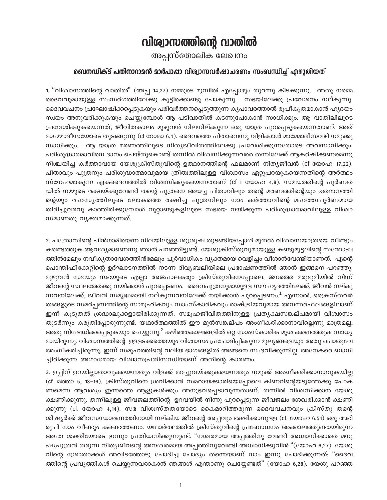## വിര്വാസത്തിന്റെ വാതിൽ

അപ്പസ്തോലിക ലേഖനം

## ബെനഡിക്ട് പതിനാറാമൻ മാർപാപ്പാ വിശ്വാസവർഷാചരണം സംബന്ധിച്ച് എഴുതിയത്

1. "വിശ്വാസത്തിന്റെ വാതിൽ" (അപ്പ 14,27) നമ്മുടെ മുമ്പിൽ എപ്പോഴും തുറന്നു കിടക്കുന്നു. അതു നമ്മെ ദൈവവുമായുള്ള സംസർഗത്തിലേക്കു കൂട്ടിക്കൊണ്ടു പോകുന്നു. സഭയിലേക്കു പ്രവേശനം നല്കുന്നു. ദൈവവചനം പ്രഘോഷിക്കപ്പെടുകയും പരിവർത്തനപ്പെടുത്തുന്ന കൃപാവരത്താൽ രൂപീകൃതമാകാൻ ഹൃദയം സ്വയം അനുവദിക്കുകയും ചെയ്യുമ്പോൾ ആ പടിവാതിൽ കടന്നുപോകാൻ സാധിക്കും. ആ വാതിലിലൂടെ പ്രവേശിക്കുകയെന്നത്, ജീവിതകാലം മുഴുവൻ നിലനില്ക്കുന്ന ഒരു യാത്ര പുറപ്പെടുകയെന്നതാണ്. അത് മാമ്മോദീസയോടെ തുടങ്ങുന്നു (cf റോമാ 6,4). ദൈവത്തെ പിതാവെന്നു വിളിക്കാൻ മാമ്മോദീസവഴി നമുക്കു സാധിക്കും. ആ യാത്ര മരണത്തിലൂടെ നിത്യജീവിതത്തിലേക്കു പ്രവേശിക്കുന്നതോടെ അവസാനിക്കും. പരിശുദ്ധാത്മാവിനെ ദാനം ചെയ്തുകൊണ്ട് തന്നിൽ വിശ്വസിക്കുന്നവരെ തന്നിലേക്ക് ആകർഷിക്കണമെന്നു നിശ്ചയിച്ച കർത്താവായ യേശുക്രിസ്തുവിന്റെ ഉത്ഥാനത്തിന്റെ ഫലമാണ് നിത്യജീവൻ (cf യോഹ 17,22). പിതാവും പുത്രനും പരിശുദ്ധാത്മാവുമായ ത്രിത്വത്തിലുള്ള വിശ്വാസം ഏറ്റുപറയുകയെന്നതിന്റെ അർത്ഥം സ്നേഹമാകുന്ന ഏകദൈവത്തിൽ വിശ്വസിക്കുകയെന്നതാണ് (cf 1 യോഹ 4,8). സമയത്തിന്റെ പൂർണത യിൽ നമ്മുടെ രക്ഷയ്ക്കുവേണ്ടി തന്റെ പുത്രനെ അയച്ച പിതാവിലും തന്റെ മരണത്തിന്റെയും ഉത്ഥാനത്തി ന്റെയും രഹസ്യത്തിലൂടെ ലോകത്തെ രക്ഷിച്ച പുത്രനിലും നാം കർത്താവിന്റെ മഹത്ത്വപൂർണമായ തിരിച്ചുവരവു കാത്തിരിക്കുമ്പോൾ നൂറ്റാണ്ടുകളിലൂടെ സഭയെ നയിക്കുന്ന പരിശുദ്ധാത്മാവിലുള്ള വിശ്വാ സമാണതു വൃക്തമാക്കുന്നത്.

2. പത്രോസിന്റെ പിൻഗാമിയെന്ന നിലയിലുള്ള ശുശ്രൂഷ തുടങ്ങിയപ്പോൾ മുതൽ വിശ്വാസയാത്രയെ വീണ്ടും കണ്ടെത്തുക ആവശ്യമാണെന്നു ഞാൻ പറഞ്ഞിട്ടുണ്ട്. യേശുക്രിസ്തുവുമായുള്ള കണ്ടുമുട്ടലിന്റെ സന്തോഷ ത്തിൻമേലും നവീകൃതാവേശത്തിൻമേലും പൂർവാധികം വൃക്തമായ വെളിച്ചം വീശാൻവേണ്ടിയാണത്. എന്റെ പൊന്തിഫിക്കേറ്റിന്റെ ഉദ്ഘാടനത്തിൽ നടന്ന ദിവ്യബലിയിലെ പ്രഭാഷണത്തിൽ ഞാൻ ഇങ്ങനെ പറഞ്ഞു: മുഴുവൻ സഭയും സഭയുടെ എല്ലാ അജപാലകരും ക്രിസ്തുവിനെപ്പോലെ, ജനത്തെ മരുഭൂമിയിൽ നിന്ന് ജീവന്റെ സ്ഥലത്തേക്കു നയിക്കാൻ പുറപ്പെടണം. ദൈവപുത്രനുമായുള്ള സൗഹൃദത്തിലേക്ക്, ജീവൻ നല്കു ന്നവനിലേക്ക്, ജീവൻ സമൃദ്ധമായി നല്കുന്നവനിലേക്ക് നയിക്കാൻ പുറപ്പെടണം.<sup>1</sup> എന്നാൽ, ക്രൈസ്തവർ തങ്ങളുടെ സമർപ്പണത്തിന്റെ സാമൂഹികവും സാംസ്കാരികവും രാഷ്ട്രീയവുമായ അനന്തരഫലങ്ങളിലാണ് ഇന്ന് കൂടുതൽ ശ്രദ്ധാലുക്കളായിരിക്കുന്നത്. സമൂഹജീവിതത്തിനുള്ള പ്രതൃക്ഷസങ്കല്പമായി വിശ്വാസം തുടർന്നും കരുതിപ്പോരുന്നുണ്ട്. യഥാർത്ഥത്തിൽ ഈ മുൻസങ്കല്പം അംഗീകരിക്കാനാവില്ലെന്നു മാത്രമല്ല, അതു നിഷേധിക്കപ്പെടുകയും ചെയ്യുന്നു.<sup>2</sup> കഴിഞ്ഞകാലങ്ങളിൽ ഒറ്റ സാംസ്കാരിക മൂശ കണ്ടെത്തുക സാധ്യ മായിരുന്നു. വിശ്വാസത്തിന്റെ ഉള്ളടക്കത്തെയും വിശ്വാസം പ്രചോദിപ്പിക്കുന്ന മൂല്യങ്ങളെയും അതു പൊതുവേ അംഗീകരിച്ചിരുന്നു. ഇന്ന് സമൂഹത്തിന്റെ വലിയ ഭാഗങ്ങളിൽ അങ്ങനെ സംഭവിക്കുന്നില്ല. അനേകരെ ബാധി ച്ചിരിക്കുന്ന അഗാധമായ വിശ്വാസപ്രതിസന്ധിയാണ് അതിന്റെ കാരണം.

3. ഉപ്പിന് ഉറയില്ലാതാവുകയെന്നതും വിളക്ക് മറച്ചുവയ്ക്കുകയെന്നതും നമുക്ക് അംഗീകരിക്കാനാവുകയില്ല (cf. മത്താ 5, 13-16). ക്രിസ്തുവിനെ ശ്രവിക്കാൻ സമറായക്കാരിയെപ്പോലെ കിണറിന്റെയടുത്തേക്കു പോക ണമെന്ന ആവശ്യം ഇന്നത്തെ ആളുകൾക്കും അനുഭവപ്പെടാവുന്നതാണ്. തന്നിൽ വിശ്വസിക്കാൻ യേശു ക്ഷണിക്കുന്നു. തന്നിലുള്ള ജീവജലത്തിന്റെ ഉറവയിൽ നിന്നു പുറപ്പെടുന്ന ജീവജലം ശേഖരിക്കാൻ ക്ഷണി ക്കുന്നു (cf. യോഹ 4,14). സഭ വിശ്വസ്തതയോടെ കൈമാറിത്തരുന്ന ദൈവവചനവും ക്രിസ്തു തന്റെ ശിഷ്യർക്ക് ജീവസന്ധാരണത്തിനായി നല്കിയ ജീവന്റെ അപ്പവും ഭക്ഷിക്കാനുള്ള (cf. യോഹ 6,51) ഒരു അഭി രുചി നാം വീണ്ടും കണ്ടെത്തണം. യഥാർത്ഥത്തിൽ ക്രിസ്തുവിന്റെ പ്രബോധനം അക്കാലത്തുണ്ടായിരുന്ന അതേ ശക്തിയോടെ ഇന്നും പ്രതിധ്വനിക്കുന്നുണ്ട്: "നശ്വരമായ അപ്പത്തിനു വേണ്ടി അധ്വാനിക്കാതെ മനു ഷ്യപുത്രൻ തരുന്ന നിത്യജീവന്റെ അനശ്വരമായ അപ്പത്തിനുവേണ്ടി അധ്വാനിക്കുവിൻ "(യോഹ 6,27). യേശു വിന്റെ ശ്രോതാക്കൾ അവിടത്തോടു ചോദിച്ച ചോദ്യം തന്നെയാണ് നാം ഇന്നു ചോദിക്കുന്നത്: "ദൈവ ത്തിന്റെ പ്രവൃത്തികൾ ചെയ്യുന്നവരാകാൻ ഞങ്ങൾ എന്താണു ചെയ്യേണ്ടത്" (യോഹ 6,28). യേശു പറഞ്ഞ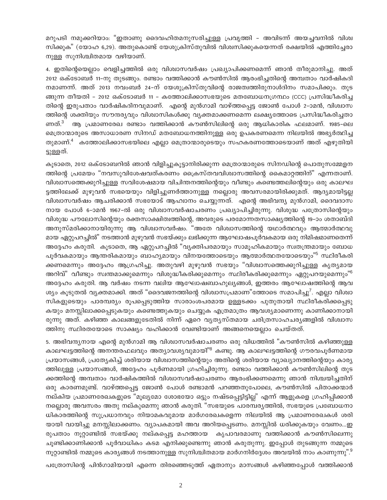മറുപടി നമുക്കറിയാം: "ഇതാണു ദൈവഹിതമനുസരിച്ചുള്ള പ്രവൃത്തി - അവിടന്ന് അയച്ചവനിൽ വിശ്വ സിക്കുക" (യോഹ 6,29). അതുകൊണ്ട് യേശുക്രിസ്തുവിൽ വിശ്വസിക്കുകയെന്നത് രക്ഷയിൽ എത്തിച്ചേരാ നുള്ള സുനിശ്ചിതമായ വഴിയാണ്.

4. ഇതിന്റെയെല്ലാം വെളിച്ചത്തിൽ ഒരു വിശ്വാസവർഷം പ്രഖ്യാപിക്കണമെന്ന് ഞാൻ തീരുമാനിച്ചു. അത് 2012 ഒക്ടോബർ 11-നു തുടങ്ങും. രണ്ടാം വത്തിക്കാൻ കൗൺസിൽ ആരംഭിച്ചതിന്റെ അമ്പതാം വാർഷികദി നമാണന്ന്. അത് 2013 നവംബർ 24-ന് യേശുക്രിസ്തുവിന്റെ രാജത്വത്തിരുനാൾദിനം സമാപിക്കും. തുട ങ്ങുന്ന തീയതി - 2012 ഒക്ടോബർ 11 - കത്തോലിക്കാസഭയുടെ മതബോധനഗ്രന്ഥം (CCC) പ്രസിദ്ധീകരിച്ച തിന്റെ ഇരുപതാം വാർഷികദിനവുമാണ്. എന്റെ മുൻഗാമി വാഴ്ത്തപ്പെട്ട ജോൺ പോൾ 2-ാമൻ, വിശ്വാസ ത്തിന്റെ ശക്തിയും സൗന്ദര്യവും വിശ്വാസികൾക്കു വൃക്തമാക്കണമെന്ന ലക്ഷ്യത്തോടെ പ്രസിദ്ധീകരിച്ചതാ ണത്.<sup>3</sup> ആ പ്രമാണരേഖ രണ്ടാം വത്തിക്കാൻ കൗൺസിലിന്റെ ഒരു ആധികാരിക ഫലമാണ്. 1985-ലെ മെത്രാന്മാരുടെ അസാധാരണ സിനഡ് മതബോധനത്തിനുള്ള ഒരു ഉപകരണമെന്ന നിലയിൽ അഭ്യർത്ഥിച്ച തുമാണ്.<sup>4</sup> കത്തോലിക്കാസഭയിലെ എലാ മെത്രാന്മാരുടെയും സഹകരണത്തോടെയാണ് അത് എഴുതിയി ട്ടുള്ളത്.

കൂടാതെ, 2012 ഒക്ടോബറിൽ ഞാൻ വിളിച്ചുകൂട്ടാനിരിക്കുന്ന മെത്രാന്മാരുടെ സിനഡിന്റെ പൊതുസമ്മേളന ത്തിന്റെ പ്രമേയം "നവസുവിശേഷവത്കരണം പ്രൈസ്തവവിശ്വാസത്തിന്റെ കൈമാറ്റത്തിന്" എന്നതാണ്. വിശ്വാസത്തെക്കുറിച്ചുള്ള സവിശേഷമായ വിചിന്തനത്തിന്റെയും വീണ്ടും കണ്ടെത്തലിന്റെയും ഒരു കാലഘ ്ടത്തിലേക്ക് മുഴുവൻ സഭയെയും വിളിച്ചുണർത്താനുള്ള നല്ലൊരു അവസരമായിരിക്കുമത്. ആദ്യമായിട്ടല്ല വിശ്വാസവർഷം ആചരിക്കാൻ സഭയോട് ആഹ്വാനം ചെയ്യുന്നത്. എന്റെ അഭിവന്ദ്യ മുൻഗാമി, ദൈവദാസ നായ പോൾ 6-ാമൻ 1967-ൽ ഒരു വിശ്വാസവർഷാചരണം പ്രഖ്യാപിച്ചിരുന്നു. വിശുദ്ധ പത്രോസിന്റെയും വിശുദ്ധ പൗലോസിന്റെയും രക്തസാക്ഷിത്വത്തിന്റെ, അവരുടെ പരമോന്നതസാക്ഷ്യത്തിന്റെ 19–ാം ശതാബ്ദി അനുസ്മരിക്കാനായിരുന്നു ആ വിശ്വാസവർഷം. "അതേ വിശ്വാസത്തിന്റെ യഥാർത്ഥവും ആത്മാർത്ഥവു മായ ഏറ്റുപറച്ചിൽ" നടത്താൻ മുഴുവൻ സഭയ്ക്കും ലഭിക്കുന്ന ആഘോഷപൂർവകമായ ഒരു നിമിഷമാണതെന്ന് അദ്ദേഹം കരുതി. കൂടാതെ, ആ ഏറ്റുപറച്ചിൽ "വ്യക്തിപരമായും സാമൂഹികമായും സ്വതന്ത്രമായും ബോധ പൂർവകമായും ആന്തരികമായും ബാഹ്യമായും വിനയത്തോടെയും ആത്മാർത്ഥതയോടെയും<sup>"5</sup> സ്ഥിരീകരി ക്കണമെന്നും അദ്ദേഹം ആഗ്രഹിച്ചു. അതുവഴി മുഴുവൻ സഭയും "വിശ്വാസത്തെക്കുറിച്ചുള്ള കൃതൃമായ അറിവ്" വീണ്ടും സ്വന്തമാക്കുമെന്നും വിശുദ്ധീകരിക്കുമെന്നും സ്ഥിരീകരിക്കുമെന്നും ഏറ്റുപറയുമെന്നും"<sup>6</sup> അദ്ദേഹം കരുതി. ആ വർഷം നടന്ന വലിയ ആഘോഷബാഹുല്യങ്ങൾ, ഇത്തരം ആഘോഷത്തിന്റെ ആവ ശ്യം കൂടുതൽ വ്യക്തമാക്കി. അത് "ദൈവജനത്തിന്റെ വിശ്വാസപ്രമാണ"ത്തോടെ സമാപിച്ചു<sup>7</sup>. എല്ലാ വിശ്വാ സികളുടെയും പാരമ്പര്യം രൂപപ്പെടുത്തിയ സാരാംശപരമായ ഉള്ളടക്കം പുതുതായി സ്ഥിരീകരിക്കപ്പെടു കയും മനസ്സിലാക്കപ്പെടുകയും കണ്ടെത്തുകയും ചെയ്യുക എത്രമാത്രം ആവശ്യമാണെന്നു കാണിക്കാനായി രുന്നു അത്. കഴിഞ്ഞ കാലങ്ങളുടേതിൽ നിന്ന് ഏറെ വ്യത്യസ്**തമായ ചരിത്രസാഹചര്യങ്ങളിൽ വിശ്വാ**സ ത്തിനു സ്ഥിരതയോടെ സാക്ഷ്യം വഹിക്കാൻ വേണ്ടിയാണ് അങ്ങനെയെല്ലാം ചെയ്തത്.

5. അഭിവന്ദ്യനായ എന്റെ മുൻഗാമി ആ വിശ്വാസവർഷാചരണം ഒരു വിധത്തിൽ "കൗൺസിൽ കഴിഞ്ഞുള്ള .<br>കാലഘട്ടത്തിന്റെ അനന്തരഫലവും അത്യാവശ്യവുമായി<sup>"8</sup> കണ്ടു. ആ കാലഘട്ടത്തിന്റെ ഗൗരവപൂർണമായ പ്രയാസങ്ങൾ, പ്രത്യേകിച്ച് ശരിയായ വിശ്വാസത്തിന്റെയും അതിന്റെ ശരിയായ വ്യാഖ്യാനത്തിന്റെയും കാര്യ ത്തിലുള്ള പ്രയാസങ്ങൾ, അദ്ദേഹം പൂർണമായി ഗ്രഹിച്ചിരുന്നു. രണ്ടാം വത്തിക്കാൻ കൗൺസിലിന്റെ തുട ക്കത്തിന്റെ അമ്പതാം വാർഷികത്തിൽ വിശ്വാസവർഷാചരണം ആരംഭിക്കണമെന്നു ഞാൻ നിശ്ചയിച്ചതിന് ഒരു കാരണമുണ്ട്. വാഴ്ത്തപ്പെട്ട ജോൺ പോൾ രണ്ടാമൻ പറഞ്ഞതുപോലെ, കൗൺസിൽ പിതാക്കന്മാർ  $\,$ നല്കിയ പ്രമാണരേഖകളുടെ "മൂല്യമോ ശോഭയോ ഒട്ടും നഷ്ടപ്പെട്ടിട്ടില്ല" എന്ന് ആളുകളെ ഗ്രഹിപ്പിക്കാൻ നല്ലൊരു അവസരം അതു നല്കുമെന്നു ഞാൻ കരുതി. "സഭയുടെ പാരമ്പര്യത്തിൽ, സഭയുടെ പ്രബോധനാ ധികാരത്തിന്റെ സുപ്രധാനവും നിയാമകവുമായ മാർഗരേഖകളെന്ന നിലയിൽ ആ പ്രമാണരേഖകൾ ശരി യായി വായിച്ചു മനസ്സിലാക്കണം. വ്യാപകമായി അവ അറിയപ്പെടണം. മനസ്സിൽ ധരിക്കുകയും വേണം...ഇ രുപതാം നൂറ്റാണ്ടിൽ സഭയ്ക്കു നല്കപ്പെട്ട മഹത്തായ കൃപാവരമാണു വത്തിക്കാൻ കൗൺസിലെന്നു ചൂണ്ടിക്കാണിക്കാൻ പൂർവാധികം കടമ എനിക്കുണ്ടെന്നു ഞാൻ കരുതുന്നു. ഇപ്പോൾ തുടങ്ങുന്ന നമ്മുടെ നൂറ്റാണ്ടിൽ നമ്മുടെ കാര്യങ്ങൾ നടത്താനുള്ള സുനിശ്ചിതമായ മാർഗനിർദ്ദേശം അവയിൽ നാം കാണുന്നു". $^{\rm a}$ .

പത്രോസിന്റെ പിൻഗാമിയായി എന്നെ തിരഞ്ഞെടുത്ത് ഏതാനും മാസങ്ങൾ കഴിഞ്ഞപ്പോൾ വത്തിക്കാൻ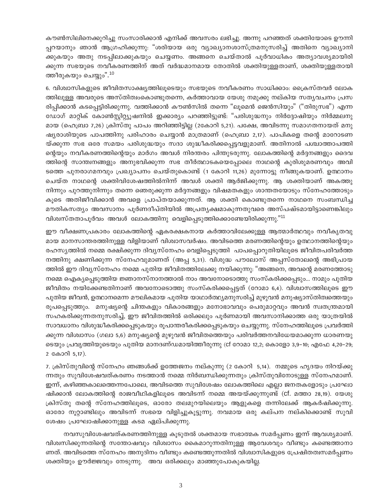കൗൺസിലിനെക്കുറിച്ചു സംസാരിക്കാൻ എനിക്ക് അവസരം ലഭിച്ചു. അന്നു പറഞ്ഞത് ശക്തിയോടെ ഊന്നി പ്പറയാനും ഞാൻ ആഗ്രഹിക്കുന്നു: "ശരിയായ ഒരു വ്യാഖ്യാനശാസ്ത്രമനുസരിച്ച് അതിനെ വ്യാഖ്യാനി ക്കുകയും അതു നടപ്പിലാക്കുകയും ചെയ്യണം. അങ്ങനെ ചെയ്താൽ പൂർവാധികം അത്യാവശ്യമായിരി ക്കുന്ന സഭയുടെ നവീകരണത്തിന് അത് വർദ്ധമാനമായ തോതിൽ ശക്തിയുള്ളതാണ്, ശക്തിയുള്ളതായി ത്തീരുകയും ചെയ്യും".<sup>10</sup>

6. വിശ്വാസികളുടെ ജീവിതസാക്ഷ്യത്തിലൂടെയും സഭയുടെ നവീകരണം സാധിക്കാം: ക്രൈസ്തവർ ലോക ത്തിലുള്ള അവരുടെ അസ്തിത്വംകൊണ്ടുതന്നെ, കർത്താവായ യേശു നമുക്കു നല്കിയ സത്യവചനം പ്രസ രിപ്പിക്കാൻ കടപ്പെട്ടിരിക്കുന്നു. വത്തിക്കാൻ കൗൺസിൽ തന്നെ "ലൂമെൻ ജെൻസിയും" ("തിരുസഭ") എന്ന ഡോഗ് മാറ്റിക് കോൺസ്കിറ്റ്യുഷനിൽ ഇക്കാര്യം പറഞ്ഞിട്ടുണ്ട്: "പരിശുദ്ധനും നിർദ്ദോഷിയും നിർമ്മലനു മായ (ഹെബ്രാ 7,26) ക്രിസ്തു പാപം അറിഞ്ഞിട്ടില്ല (2കോറി 5,21). പക്ഷേ, അവിടന്നു സമാഗതനായത് മനു ഷ്യരാശിയുടെ പാപത്തിനു പരിഹാരം ചെയ്യാൻ മാത്രമാണ് (ഹെബ്രാ 2,17). പാപികളെ തന്റെ മാറോടണ യ്ക്കുന്ന സഭ ഒരേ സമയം പരിശുദ്ധയും സദാ ശുദ്ധീകരിക്കപ്പെട്ടവളുമാണ്. അതിനാൽ പശ്ചാത്താപത്തി ന്റെയും നവീകരണത്തിന്റെയും മാർഗം അവൾ നിരന്തരം പിന്തുടരുന്നു. ലോകത്തിന്റെ മർദ്ദനങ്ങളും ദൈവ ത്തിന്റെ സാന്ത്വനങ്ങളും അനുഭവിക്കുന്ന സഭ തീർത്ഥാടകയെപ്പോലെ നാഥന്റെ കുരിശുമരണവും അവി ടത്തെ പുനരാഗമനവും പ്രഖ്യാപനം ചെയ്തുകൊണ്ട് (1 കോറി 11,26) മുന്നോട്ടു നീങ്ങുകയാണ്. ഉത്ഥാനം ചെയ്ത നാഥന്റെ ശക്തിവിശേഷത്തിൽനിന്ന് അവൾ ശക്തി ആർജിക്കുന്നു. ആ ശക്തിയാണ് അകത്തു നിന്നും പുറത്തുനിന്നും തന്നെ ഞെരുക്കുന്ന മർദ്ദനങ്ങളും വിഷമതകളും ശാന്തതയോടും സ്നേഹത്തോടും കൂടെ അതിജീവിക്കാൻ അവളെ പ്രാപ്തയാക്കുന്നത്. ആ ശക്തി കൊണ്ടുതന്നെ നാഥനെ സംബന്ധിച്ച മൗതികസത്യം അവസാനം പൂർണദീപ്തിയിൽ അപ്രത്യക്ഷമാകുന്നതുവരെ അസ്പഷ്ടമായിട്ടാണെങ്കിലും വിശ്വസ്തതാപൂർവം അവൾ ലോകത്തിനു വെളിപ്പെടുത്തിക്കൊണ്ടേയിരിക്കുന്നു."<sup>11</sup>

ഈ വീക്ഷണപ്രകാരം ലോകത്തിന്റെ ഏകരക്ഷകനായ കർത്താവിലേക്കുള്ള ആത്മാർത്ഥവും നവീകൃതവു മായ മാനസാന്തരത്തിനുള്ള വിളിയാണ് വിശ്വാസവർഷം. അവിടത്തെ മരണത്തിന്റെയും ഉത്ഥാനത്തിന്റെയും രഹസ്യത്തിൽ നമ്മെ രക്ഷിക്കുന്ന ദിവ്യസ്നേഹം വെളിപ്പെടുത്തി പാപപ്പൊറുതിയിലൂടെ ജീവിതപരിവർത്ത നത്തിനു ക്ഷണിക്കുന്ന സ്നേഹവുമാണത് (അപ്പ 5,31). വിശുദ്ധ പൗലോസ് അപ്പസ്തോലന്റെ അഭിപ്രായ ത്തിൽ ഈ ദിവ്യസ്നേഹം നമ്മെ പുതിയ ജീവിതത്തിലേക്കു നയിക്കുന്നു: "അങ്ങനെ, അവന്റെ മരണത്തോടു നമ്മെ ഐക്യപ്പെടുത്തിയ ജ്ഞാനസ്നാനത്താൽ നാം അവനോടൊത്തു സംസ്കരിക്കപ്പെടും... നാമും പുതിയ ജീവിതം നയിക്കേണ്ടതിനാണ് അവനോടൊത്തു സംസ്കരിക്കപ്പെട്ടത് (റോമാ 6,4). വിശ്വാസത്തിലൂടെ ഈ പുതിയ ജീവൻ, ഉത്ഥാനമെന്ന മൗലികമായ പുതിയ യാഥാർത്ഥ്യമനുസരിച്ച് മുഴുവൻ മനുഷ്യാസ്തിത്വത്തെയും രൂപപ്പെടുത്തും. മനുഷ്യന്റെ ചിന്തകളും വികാരങ്ങളും മനോഭാവവും പെരുമാറ്റവും അവൻ സ്വതന്ത്രമായി സഹകരിക്കുന്നതനുസരിച്ച്, ഈ ജീവിതത്തിൽ ഒരിക്കലും പൂർണമായി അവസാനിക്കാത്ത ഒരു യാത്രയിൽ സാവധാനം വിശുദ്ധീകരിക്കപ്പെടുകയും രൂപാന്തരീകരിക്കപ്പെടുകയും ചെയ്യുന്നു. സ്നേഹത്തിലൂടെ പ്രവർത്തി ക്കുന്ന വിശ്വാസം (ഗലാ 5,6) മനുഷ്യന്റെ മുഴുവൻ ജീവിതത്തെയും പരിവർത്തനവിധേയമാക്കുന്ന ധാരണയു ടെയും പ്രവൃത്തിയുടെയും പുതിയ മാനദണ്ഡമായിത്തീരുന്നു (cf റോമാ 12,2; കൊളോ 3,9–10; എഫേ 4,20–29; 2 കോറി 5,17).

7. ക്രിസ്തുവിന്റെ സ്നേഹം ഞങ്ങൾക്ക് ഉത്തേജനം നല്കുന്നു (2 കോറി 5,14). നമ്മുടെ ഹൃദയം നിറയ്ക്കു ന്നതും സുവിശേഷവത്കരണം നടത്താൻ നമ്മെ നിർബന്ധിക്കുന്നതും ക്രിസ്തുവിനോടുള്ള സ്നേഹമാണ്. ഇന്ന്, കഴിഞ്ഞകാലത്തെന്നപോലെ, അവിടത്തെ സുവിശേഷം ലോകത്തിലെ എല്ലാ ജനതകളോടും പ്രഘോ ഷിക്കാൻ ലോകത്തിന്റെ രാജവീഥികളിലൂടെ അവിടന്ന് നമ്മെ അയയ്ക്കുന്നുണ്ട് (Cf. മത്താ 28,19). യേശു ക്രിസ്തു തന്റെ സ്നേഹത്തിലൂടെ, ഓരോ തലമുറയിലെയും ആളുകളെ തന്നിലേക്ക് ആകർഷിക്കുന്നു. ഓരോ നൂറ്റാണ്ടിലും അവിടന്ന് സഭയെ വിളിച്ചുകൂട്ടുന്നു. നവമായ ഒരു കല്പന നല്കിക്കൊണ്ട് സുവി ശേഷം പ്രഘോഷിക്കാനുള്ള കടമ ഏല്പിക്കുന്നു.

നവസുവിശേഷവത്കരണത്തിനുള്ള കൂടുതൽ ശക്തമായ സഭാത്മക സമർപ്പണം ഇന്ന് ആവശ്യമാണ്. വിശ്വസിക്കുന്നതിന്റെ സന്തോഷവും വിശ്വാസം കൈമാറുന്നതിനുള്ള ആവേശവും വീണ്ടും കണ്ടെത്താനാ ണത്. അവിടത്തെ സ്നേഹം അനുദിനം വീണ്ടും കണ്ടെത്തുന്നതിൽ വിശ്വാസികളുടെ പ്രേഷിതത്വസമർപ്പണം ശക്തിയും ഊർജ്ജവും നേടുന്നു. അവ ഒരിക്കലും മാഞ്ഞുപോകുകയില്ല.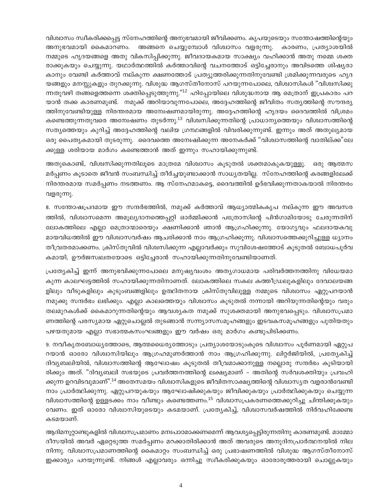വിശ്വാസം സ്വീകരിക്കപ്പെട്ട സ്നേഹത്തിന്റെ അനുഭവമായി ജീവിക്കണം. കൃപയുടെയും സന്തോഷത്തിന്റെയും അനുഭവമായി കൈമാറണം. അങ്ങനെ ചെയ്യുമ്പോൾ വിശ്വാസം വളരുന്നു. കാരണം, പ്രത്യാശയിൽ നമ്മുടെ ഹൃദയങ്ങളെ അതു വികസിപ്പിക്കുന്നു. ജീവദായകമായ സാക്ഷ്യം വഹിക്കാൻ അതു നമ്മെ ശക്ത രാക്കുകയും ചെയ്യുന്നു. യഥാർത്ഥത്തിൽ കർത്താവിന്റെ വചനത്തോട് ഒട്ടിച്ചേരാനും അവിടത്തെ ശിഷ്യരാ കാനും വേണ്ടി കർത്താവ് നല്കുന്ന ക്ഷണത്തോട് പ്രത്യുത്തരിക്കുന്നതിനുവേണ്ടി ശ്രമിക്കുന്നവരുടെ ഹൃദ യങ്ങളും മനസ്സുകളും തുറക്കുന്നു. വിശുദ്ധ ആഗസ്തീനോസ് പറയുന്നപോലെ, വിശ്വാസികൾ "വിശ്വസിക്കു ന്നതുവഴി തങ്ങളെത്തന്നെ ശക്തിപ്പെടുത്തുന്നു."<sup>12</sup> ഹിപ്പോയിലെ വിശുദ്ധനായ ആ മെത്രാന് ഇപ്രകാരം പറ യാൻ തക്ക കാരണമുണ്ട്. നമുക്ക് അറിയാവുന്നപോലെ, അദ്ദേഹത്തിന്റെ ജീവിതം സത്യത്തിന്റെ സൗന്ദര്യ ത്തിനുവേണ്ടിയുള്ള നിരന്തരമായ അന്വേഷണമായിരുന്നു. അദ്ദേഹത്തിന്റെ ഹൃദയം ദൈവത്തിൽ വിശ്രമം കണ്ടെത്തുന്നതുവരെ അന്വേഷണം തുടർന്നു.<sup>13</sup> വിശ്വസിക്കുന്നതിന്റെ പ്രാധാന്യത്തെയും വിശ്വാസത്തിന്റെ സത്യത്തെയും കുറിച്ച് അദ്ദേഹത്തിന്റെ വലിയ ഗ്രന്ഥങ്ങളിൽ വിവരിക്കുന്നുണ്ട്. ഇന്നും അത് അതുല്യമായ ഒരു പൈതൃകമായി തുടരുന്നു. ദൈവത്തെ അന്വേഷിക്കുന്ന അനേകർക്ക് "വിശ്വാസത്തിന്റെ വാതില്ക്ക"ലേ ക്കുള്ള ശരിയായ മാർഗം കണ്ടെത്താൻ അത് ഇന്നും സഹായിക്കുന്നുണ്ട്.

അതുകൊണ്ട്, വിശ്വസിക്കുന്നതിലൂടെ മാത്രമേ വിശ്വാസം കൂടുതൽ ശക്തമാകുകയുള്ളു. ഒരു ആത്മസ മർപ്പണം കൂടാതെ ജീവൻ സംബന്ധിച്ച് തീർച്ചയുണ്ടാക്കാൻ സാധ്യതയില്ല. സ്നേഹത്തിന്റെ കരങ്ങളിലേക്ക് നിരന്തരമായ സമർപ്പണം നടത്തണം. ആ സ്നേഹമാകട്ടെ, ദൈവത്തിൽ ഉദ്ഭവിക്കുന്നതാകയാൽ നിരന്തരം വളരുന്നു.

8. സന്തോഷപ്രദമായ ഈ സന്ദർഭത്തിൽ, നമുക്ക് കർത്താവ് ആധ്യാത്മികകൃപ നല്കുന്ന ഈ അവസര ത്തിൽ, വിശ്വാസമെന്ന അമൂല്യദാനത്തെപ്പറ്റി ഓർമ്മിക്കാൻ പത്രോസിന്റെ പിൻഗാമിയോടു ചേരുന്നതിന് ലോകത്തിലെ എല്ലാ മെത്രാന്മാരെയും ക്ഷണിക്കാൻ ഞാൻ ആഗ്രഹിക്കുന്നു. യോഗൃവും ഫലദായകവു മായവിധത്തിൽ ഈ വിശ്വാസവർഷം ആചരിക്കാൻ നാം ആഗ്രഹിക്കുന്നു. വിശ്വാസത്തെക്കുറിച്ചുള്ള ധ്യാനം തീവ്രതരമാക്കണം. ക്രിസ്തുവിൽ വിശ്വസിക്കുന്ന എല്ലാവർക്കും സുവിശേഷത്തോട് കൂടുതൽ ബോധപൂർവ കമായി, ഊർജസ്വലതയോടെ ഒട്ടിച്ചേരാൻ സഹായിക്കുന്നതിനുവേണ്ടിയാണത്.

പ്രത്യേകിച്ച് ഇന്ന് അനുഭവിക്കുന്നപോലെ മനുഷ്യവംശം അത്യഗാധമായ പരിവർത്തനത്തിനു വിധേയമാ കുന്ന കാലഘട്ടത്തിൽ സഹായിക്കുന്നതിനാണത്. ലോകത്തിലെ സകല കത്തീഡ്രലുകളിലും ദേവാലയങ്ങ ളിലും വീടുകളിലും കുടുംബങ്ങളിലും ഉത്ഥിതനായ ക്രിസ്തുവിലുള്ള നമ്മുടെ വിശ്വാസം ഏറ്റുപറയാൻ നമുക്കു സന്ദർഭം ലഭിക്കും. എല്ലാ കാലത്തെയും വിശ്വാസം കൂടുതൽ നന്നായി അറിയുന്നതിന്റെയും വരും തലമുറകൾക്ക് കൈമാറുന്നതിന്റെയും ആവശ്യകത നമുക്ക് സുശക്തമായി അനുഭവപ്പെടും. വിശ്വാസപ്രമാ ണത്തിന്റെ പരസ്യമായ ഏറ്റുചൊല്ലൽ തുടങ്ങാൻ സന്ന്യാസസമൂഹങ്ങളും ഇടവകസമൂഹങ്ങളും പുതിയതും പഴയതുമായ എല്ലാ സഭാത്മകസംഘങ്ങളും ഈ വർഷം ഒരു മാർഗം കണ്ടുപിടിക്കണം.

9. നവീകൃതബോധ്യത്തോടെ, ആത്മധൈര്യത്തോടും പ്രത്യാശയോടുംകൂടെ വിശ്വാസം പൂർണമായി ഏറ്റുപ റയാൻ ഓരോ വിശ്വാസിയിലും ആഗ്രഹമുണർത്താൻ നാം ആഗ്രഹിക്കുന്നു. ലിറ്റർജിയിൽ, പ്രത്യേകിച്ച് ദിവ്യബലിയിൽ, വിശ്വാസത്തിന്റെ ആഘോഷം കൂടുതൽ തീവ്രമാക്കാനുള്ള നല്ലൊരു സന്ദർഭം കൂടിയായി രിക്കും അത്. "ദിവ്യബലി സഭയുടെ പ്രവർത്തനത്തിന്റെ ലക്ഷ്യമാണ് – അതിന്റെ സർവശക്തിയും പ്രവഹി ക്കുന്ന ഉറവിടവുമാണ്".<sup>14</sup> അതേസമയം വിശ്വാസികളുടെ ജീവിതസാക്ഷ്യത്തിന്റെ വിശ്വാസ്യത വളരാൻവേണ്ടി നാം പ്രാർത്ഥിക്കുന്നു. ഏറ്റുപറയുകയും ആഘോഷിക്കുകയും ജീവിക്കുകയും പ്രാർത്ഥിക്കുകയും ചെയ്യുന്ന വിശ്വാസത്തിന്റെ ഉള്ളടക്കം നാം വീണ്ടും കണ്ടെത്തണം.<sup>15</sup> വിശ്വാസപ്രകരണത്തെക്കുറിച്ചു ചിന്തിക്കുകയും വേണം. ഇത് ഓരോ വിശ്വാസിയുടെയും കടമയാണ്. പ്രത്യേകിച്ച്, വിശ്വാസവർഷത്തിൽ നിർവഹിക്കേണ്ട കടമയാണ്.

ആദിമനൂറ്റാണ്ടുകളിൽ വിശ്വാസപ്രമാണം മനഃപാഠമാക്കണമെന്ന് ആവശ്യപ്പെട്ടിരുന്നതിനു കാരണമുണ്ട്. മാമ്മോ ദീസയിൽ അവർ ഏറ്റെടുത്ത സമർപ്പണം മറക്കാതിരിക്കാൻ അത് അവരുടെ അനുദിനപ്രാർത്ഥനയിൽ നില നിന്നു. വിശ്വാസപ്രമാണത്തിന്റെ കൈമാറ്റം സംബന്ധിച്ച് ഒരു പ്രഭാഷണത്തിൽ വിശുദ്ധ ആഗസ്തീനോസ് ഇക്കാര്യം പറയുന്നുണ്ട്. നിങ്ങൾ എല്ലാവരും ഒന്നിച്ചു സ്വീകരിക്കുകയും ഓരോരുത്തരായി ചൊല്ലുകയും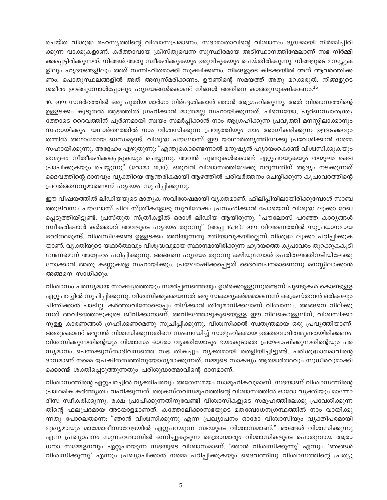ചെയ്ത വിശുദ്ധ രഹസ്യത്തിന്റെ വിശ്വാസപ്രമാണം, സഭാമാതാവിന്റെ വിശ്വാസം ദൃഢമായി നിർമ്മിച്ചിരി ക്കുന്ന വാക്കുകളാണ്. കർത്താവായ ക്രിസ്തുവെന്ന സുസ്ഥിരമായ അടിസ്ഥാനത്തിന്മേലാണ് സഭ നിർമ്മി ക്കപ്പെട്ടിരിക്കുന്നത്. നിങ്ങൾ അതു സ്ഥീകരിക്കുകയും ഉരുവിടുകയും ചെയ്തിരിക്കുന്നു. നിങ്ങളുടെ മനസ്സുക ളിലും ഹൃദയങ്ങളിലും അത് സന്നിഹിതമാക്കി സുക്ഷിക്കണം. നിങ്ങളുടെ കിടക്കയിൽ അത് ആവർത്തിക്ക ണം. പൊതുസ്ഥലങ്ങളിൽ അത് അനുസ്മരിക്കണം. ഊണിന്റെ സമയത്ത് അതു മറക്കരുത്. നിങ്ങളുടെ ശരീരം ഉറങ്ങുമ്പോൾപ്പോലും ഹൃദയങ്ങൾകൊണ്ട് നിങ്ങൾ അതിനെ കാത്തുസൂക്ഷിക്കണം.<sup>16</sup>

10. ഈ സന്ദർഭത്തിൽ ഒരു പുതിയ മാർഗം നിർദ്ദേശിക്കാൻ ഞാൻ ആഗ്രഹിക്കുന്നു. അത് വിശ്വാസത്തിന്റെ ഉള്ളടക്കം കൂടുതൽ ആഴത്തിൽ ഗ്രഹിക്കാൻ മാത്രമല്ല സഹായിക്കുന്നത്. പിന്നെയോ, പൂർണസ്വാതന്ത്ര്യ ത്തോടെ ദൈവത്തിന് പൂർണമായി സ്വയം സമർപ്പിക്കാൻ നാം ആഗ്രഹിക്കുന്ന പ്രവൃത്തി മനസ്സിലാക്കാനും സഹായിക്കും. യഥാർത്ഥത്തിൽ നാം വിശ്വസിക്കുന്ന പ്രവൃത്തിയും നാം അംഗീകരിക്കുന്ന ഉള്ളടക്കവും തമ്മിൽ അഗാധമായ ബന്ധമുണ്ട്. വിശുദ്ധ പൗലോസ് ഈ യാഥാർത്ഥ്യത്തിലേക്കു പ്രവേശിക്കാൻ നമ്മെ സഹായിക്കുന്നു. അദ്ദേഹം എഴുതുന്നു: "എന്തുകൊണ്ടെന്നാൽ മനുഷ്യൻ ഹൃദയംകൊണ്ട് വിശ്വസിക്കുകയും തന്മൂലം നീതീകരിക്കപ്പെടുകയും ചെയ്യുന്നു. അവൻ ചുണ്ടുകൾകൊണ്ട് ഏറ്റുപറയുകയും തന്മൂലം രക്ഷ പ്രാപിക്കുകയും ചെയ്യുന്നു" (റോമാ 10,10). ഒരുവൻ വിശ്വാസത്തിലേക്കു വരുന്നതിന് ആദ്യം നടക്കുന്നത് ദൈവത്തിന്റെ ദാനവും വ്യക്തിയെ ആന്തരികമായി ആഴത്തിൽ പരിവർത്തനം ചെയ്യിക്കുന്ന കൃപാവരത്തിന്റെ പ്രവർത്തനവുമാണെന്ന് ഹൃദയം സുചിപ്പിക്കുന്നു.

ഈ വിഷയത്തിൽ ലിഡിയയുടെ മാതൃക സവിശേഷമായി വ്യക്തമാണ്. ഫിലിപ്പിയിലായിരിക്കുമ്പോൾ സാബ ത്തുദിവസം പൗലോസ് ചില സ്ത്രീകളോടു സുവിശേഷം പ്രസംഗിക്കാൻ പോയെന്ന് വിശുദ്ധ ലൂക്കാ രേഖ പ്പെടുത്തിയിട്ടുണ്ട്. പ്രസ്തുത സ്ത്രീകളിൽ ഒരാൾ ലിഡിയ ആയിരുന്നു. "പൗലോസ് പറഞ്ഞ കാര്യങ്ങൾ സ്ഥീകരിക്കാൻ കർത്താവ് അവളുടെ ഹൃദയം തുറന്നു" (അപ്പ 16,14). ഈ വിവരണത്തിൽ സുപ്രധാനമായ ഒരർത്ഥമുണ്ട്. വിശ്വസിക്കേണ്ട ഉള്ളടക്കം അറിയുന്നതു മതിയാവുകയില്ലെന്ന് വിശുദ്ധ ലൂക്കാ പഠിപ്പിക്കുക യാണ്. വൃക്തിയുടെ യഥാർത്ഥവും വിശുദ്ധവുമായ സ്ഥാനമായിരിക്കുന്ന ഹൃദയത്തെ കൃപാവരം തുറക്കുകകൂടി വേണമെന്ന് അദ്ദേഹം പഠിപ്പിക്കുന്നു. അങ്ങനെ ഹൃദയം തുറന്നു കഴിയുമ്പോൾ ഉപരിതലത്തിനടിയിലേക്കു നോക്കാൻ അതു കണ്ണുകളെ സഹായിക്കും. പ്രഘോഷിക്കപ്പെട്ടത് ദൈവവചനമാണെന്നു മനസ്സിലാക്കാൻ അങ്ങനെ സാധിക്കും.

വിശ്വാസം പരസ്യമായ സാക്ഷ്യത്തെയും സമർപ്പണത്തെയും ഉൾക്കൊള്ളുന്നുണ്ടെന്ന് ചുണ്ടുകൾ കൊണ്ടുള്ള ഏറ്റുപറച്ചിൽ സുചിപ്പിക്കുന്നു. വിശ്വസിക്കുകയെന്നത് ഒരു സ്വകാര്യകർമ്മമാണെന്ന് ക്രൈസ്തവൻ ഒരിക്കലും ചിന്തിക്കാൻ പാടില്ല. കർത്താവിനോടൊപ്പം നില്ക്കാൻ തീരുമാനിക്കലാണ് വിശ്വാസം. അങ്ങനെ നില്ക്കു ന്നത് അവിടത്തോടുകൂടെ ജീവിക്കാനാണ്. അവിടത്തോടുകൂടെയുള്ള ഈ നിലകൊള്ളലിന്, വിശ്വസിക്കാ നുള്ള കാരണങ്ങൾ ഗ്രഹിക്കണമെന്നു സൂചിപ്പിക്കുന്നു. വിശ്വസിക്കൽ സ്വതന്ത്രമായ ഒരു പ്രവൃത്തിയാണ്. അതുകൊണ്ട് ഒരുവൻ വിശ്വസിക്കുന്നതിനെ സംബന്ധിച്ച് സാമൂഹികമായ ഉത്തരവാദിത്വമുണ്ടായിരിക്കണം. വിശ്വസിക്കുന്നതിന്റെയും വിശ്വാസം ഓരോ വ്യക്തിയോടും ഭയംകൂടാതെ പ്രഘോഷിക്കുന്നതിന്റെയും പര സ്യമാനം പെന്തക്കുസ്താദിവസത്തെ സഭ തികച്ചും വ്യക്തമായി തെളിയിച്ചിട്ടുണ്ട്. പരിശുദ്ധാത്മാവിന്റെ ദാനമാണ് നമ്മെ പ്രേഷിതത്വത്തിനുയോഗ്യരാക്കുന്നത്. നമ്മുടെ സാക്ഷ്യം ആത്മാർത്ഥവും സുധീരവുമാക്കി ക്കൊണ്ട് ശക്തിപ്പെടുത്തുന്നതും പരിശുദ്ധാത്മാവിന്റെ ദാനമാണ്.

വിശ്വാസത്തിന്റെ ഏറ്റുപറച്ചിൽ വ്യക്തിപരവും അതേസമയം സാമൂഹികവുമാണ്. സഭയാണ് വിശ്വാസത്തിന്റെ പ്രാഥമിക കർത്തൃത്വം വഹിക്കുന്നത്. ക്രൈസ്തവസമൂഹത്തിന്റെ വിശ്വാസത്തിൽ ഓരോ വ്യക്തിയും മാമ്മോ ദീസ സ്വീകരിക്കുന്നു. രക്ഷ പ്രാപിക്കുന്നതിനുവേണ്ടി വിശ്വാസികളുടെ സമൂഹത്തിലേക്കു പ്രവേശിക്കുന്ന തിന്റെ ഫലപ്രദമായ അടയാളമാണത്. കത്തോലിക്കാസഭയുടെ മതബോധനഗ്രന്ഥത്തിൽ നാം വായിക്കു ന്നതു പോലെതന്നെ: "ഞാൻ വിശ്വസിക്കുന്നു എന്ന പ്രഖ്യാപനം ഓരോ വിശ്വാസിയും വ്യക്തിപരമായി മുഖ്യമായും മാമ്മോദീസാവേളയിൽ ഏറ്റുപറയുന്ന സഭയുടെ വിശ്വാസമാണ്." ഞങ്ങൾ വിശ്വസിക്കുന്നു എന്ന പ്രഖ്യാപനം സൂനഹദോസിൽ ഒന്നിച്ചുകൂടുന്ന മെത്രാന്മാരും വിശ്വാസികളുടെ പൊതുവായ ആരാ ധനാ സമ്മേളനവും ഏറ്റുപറയുന്ന സഭയുടെ വിശ്വാസമാണ്. 'ഞാൻ വിശ്വസിക്കുന്നു' എന്നും 'ഞങ്ങൾ വിശ്വസിക്കുന്നു' എന്നും പ്രഖ്യാപിക്കാൻ നമ്മെ പഠിപ്പിക്കുകയും ദൈവത്തിനു വിശ്വാസത്തിന്റെ പ്രത്യു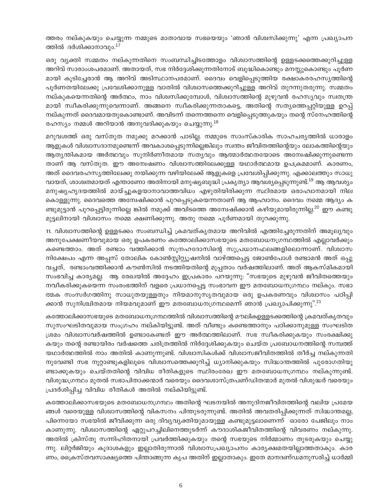ത്തരം നല്കുകയും ചെയ്യുന്ന നമ്മുടെ മാതാവായ സഭയെയും 'ഞാൻ വിശ്വസിക്കുന്നു' എന്ന പ്രഖ്യാപന ത്തിൽ ദർശിക്കാനാവും.<sup>17</sup>

ഒരു വ്യക്തി സമ്മതം നല്കുന്നതിനെ സംബന്ധിച്ചിടത്തോളം വിശ്വാസത്തിന്റെ ഉള്ളടക്കത്തെക്കുറിച്ചുള്ള അറിവ് സാരാംശപരമാണ്. അതായത്, സഭ നിർദ്ദേശിക്കുന്നതിനോട് ബുദ്ധികൊണ്ടും മനസ്സുകൊണ്ടും പൂർണ മായി കൂടിച്ചേരാൻ ആ അറിവ് അടിസ്ഥാനപരമാണ്. ദൈവം വെളിപ്പെടുത്തിയ രക്ഷാകരരഹസ്യത്തിന്റെ പൂർണതയിലേക്കു പ്രവേശിക്കാനുള്ള വാതിൽ വിശ്വാസത്തെക്കുറിച്ചുള്ള അറിവ് തുറന്നുതരുന്നു. സമ്മതം നല്കുകയെന്നതിന്റെ അർത്ഥം, നാം വിശ്വസിക്കുമ്പോൾ, വിശ്വാസത്തിന്റെ മുഴുവൻ രഹസ്യവും സ്വതന്ത്ര മായി സ്വീകരിക്കുന്നുവെന്നാണ്. അങ്ങനെ സ്വീകരിക്കുന്നതാകട്ടെ, അതിന്റെ സത്യത്തെപ്പറ്റിയുള്ള ഉറപ്പ് നല്കുന്നത് ദൈവമായതുകൊണ്ടാണ്. അവിടന്ന് തന്നെത്തന്നെ വെളിപ്പെടുത്തുകയും തന്റെ സ്നേഹത്തിന്റെ രഹസ്യം നമ്മൾ അറിയാൻ അനുവദിക്കുകയും ചെയ്യുന്നു.<sup>18</sup>

മറുവശത്ത് ഒരു വസ്തുത നമുക്കു മറക്കാൻ പാടില്ല. നമ്മുടെ സാംസ്കാരിക സാഹചര്യത്തിൽ ധാരാളം ആളുകൾ വിശ്വാസദാനമുണ്ടെന്ന് അവകാശപ്പെടുന്നില്ലെങ്കിലും സ്വന്തം ജീവിതത്തിന്റെയും ലോകത്തിന്റെയും ആത്യന്തികമായ അർത്ഥവും സുനിർണീതമായ സത്യവും ആത്മാർത്ഥതയോടെ അമ്പേഷിക്കുന്നുണ്ടെന്ന താണ് ആ വസ്തുത. ഈ അന്വേഷണം വിശ്വാസത്തിലേക്കുള്ള യഥാർത്ഥമായ ഉപക്രമമാണ്. കാരണം, അത് ദൈവരഹസ്യത്തിലേക്കു നയിക്കുന്ന വഴിയിലേക്ക് ആളുകളെ പ്രവേശിപ്പിക്കുന്നു. എക്കാലത്തും സാധു വായത്, ശാശ്വതമായത് എന്താണോ അതിനായി മനുഷ്യബുദ്ധി പ്രകൃത്യാ ആവശ്യപ്പെടുന്നുണ്ട്.<sup>19</sup> ആ ആവശ്യം മനുഷ്യഹൃദയത്തിൽ മായ്ച്ചുകളയാനാവാത്തവിധം എഴുതിയിരിക്കുന്ന സ്ഥിരമായ ഒരാഹ്വാനമായി നില കൊള്ളുന്നു. ദൈവത്തെ അന്വേഷിക്കാൻ പുറപ്പെടുകയെന്നതാണ് ആ ആഹ്വാനം. ദൈവം നമ്മെ ആദ്യം ക ണ്ടുമുട്ടാൻ പുറപ്പെട്ടിരുന്നില്ലെ ങ്കിൽ നമുക്ക് അവിടത്തെ അന്വേഷിക്കാൻ കഴിയുമായിരുന്നില്ല.<sup>20</sup> ഈ കണ്ടു മുട്ടലിനായി വിശ്വാസം നമ്മെ ക്ഷണിക്കുന്നു. അതു നമ്മെ പൂർണമായി തുറക്കുന്നു.

11. വിശ്വാസത്തിന്റെ ഉള്ളടക്കം സംബന്ധിച്ച് ക്രമവത്കൃതമായ അറിവിൽ എത്തിച്ചേരുന്നതിന് അമൂല്യവും അനുപേക്ഷണീയവുമായ ഒരു ഉപകരണം കത്തോലിക്കാസഭയുടെ മതബോധനഗ്രന്ഥത്തിൽ എല്ലാവർക്കും കണ്ടെത്താം. അത് രണ്ടാം വത്തിക്കാൻ സൂനഹദോസിന്റെ സുപ്രധാനഫലങ്ങളിലൊന്നാണ്. വിശ്വാസ നിക്ഷേപം എന്ന അപ്പസ് തോലിക കോൺസ്റ്റിറ്റ്യൂഷനിൽ വാഴ്ത്തപ്പെട്ട ജോൺപോൾ രണ്ടാമൻ അത് ഒപ്പു വച്ചത്, രണ്ടാംവത്തിക്കാൻ കൗൺസിൽ നടത്തിയതിന്റെ മുപ്പതാം വർഷത്തിലാണ്. അത് ആകസ്മികമായി സംഭവിച്ച കാര്യമല്ല. ആ രേഖയിൽ അദ്ദേഹം ഇപ്രകാരം പറയുന്നു: "സഭയുടെ മുഴുവൻ ജീവിതത്തെയും നവീകരിക്കുകയെന്ന സംരംഭത്തിന് വളരെ പ്രധാനപ്പെട്ട സംഭാവന ഈ മതബോധനഗ്രന്ഥം നല്കും. സഭാ ത്മക സംസർഗത്തിനു സാധുതയുള്ളതും നിയമാനുസൃതവുമായ ഒരു ഉപകരണവും വിശ്വാസം പഠിപ്പി ക്കാൻ സുനിശ്ചിതമായ നിയമവുമാണ് ഈ മതബോധനഗ്രന്ഥമെന്ന് ഞാൻ പ്രഖ്യാപിക്കുന്നു".<sup>21</sup>

കത്തോലിക്കാസഭയുടെ മതബോധനഗ്രന്ഥത്തിൽ വിശ്വാസത്തിന്റെ മൗലികഉള്ളടക്കത്തിന്റെ ക്രമവത്കൃതവും സുസംഘടിതവുമായ സംഗ്രഹം നല്കിയിട്ടുണ്ട്. അത് വീണ്ടും കണ്ടെത്താനും പഠിക്കാനുമുള്ള സംഘടിത ശ്രമം വിശ്വാസവർഷത്തിൽ ഉണ്ടാകേണ്ടത് ഈ അർത്ഥത്തിലാണ്. സഭ സ്വീകരിക്കുകയും സംരക്ഷിക്കു കയും തന്റെ രണ്ടായിരം വർഷത്തെ ചരിത്രത്തിൽ നിർദ്ദേശിക്കുകയും ചെയ്ത പ്രബോധനത്തിന്റെ സമ്പത്ത് യഥാർത്ഥത്തിൽ നാം അതിൽ കാണുന്നുണ്ട്. വിശ്വാസികൾക്ക് വിശ്വാസജീവിതത്തിൽ തീർച്ച നല്കുന്നതി നുവേണ്ടി സഭ നൂറ്റാണ്ടുകളിലൂടെ വിശ്വാസത്തെക്കുറിച്ച് ധ്യാനിക്കുകയും സിദ്ധാന്തത്തിൽ പുരോഗതിയു ണ്ടാക്കുകയും ചെയ്തതിന്റെ വിവിധ രീതികളുടെ സ്ഥിരംരേഖ ഈ മതബോധനഗ്രന്ഥം നല്കുന്നുണ്ട്. വിശുദ്ധഗ്രന്ഥം മുതൽ സഭാപിതാക്കന്മാർ വരെയും ദൈവശാസ്ത്രപണ്ഡിതന്മാർ മുതൽ വിശുദ്ധർ വരെയും പ്രദർശിപ്പിച്ച വിവിധ രീതികൾ അതിൽ നല്കിയിട്ടുണ്ട്.

കത്തോലിക്കാസഭയുടെ മതബോധനഗ്രന്ഥം അതിന്റെ ഘടനയിൽ അനുദിനജീവിതത്തിന്റെ വലിയ പ്രമേയ ങ്ങൾ വരെയുള്ള വിശ്വാസത്തിന്റെ വികസനം പിന്തുടരുന്നുണ്ട്. അതിൽ അവതരിപ്പിക്കുന്നത് സിദ്ധാന്തമല്ല, പിന്നെയോ സഭയിൽ ജീവിക്കുന്ന ഒരു ദിവ്യവ്യക്തിയുമായുള്ള കണ്ടുമുട്ടലാണെന്ന് ഓരോ പേജിലും നാം കാണുന്നു. വിശ്വാസത്തിന്റെ ഏറ്റുപറച്ചിലിനെത്തുടർന്ന് കൗദാശികജീവിതത്തിന്റെ വിവരണം നല്കുന്നു. അതിൽ ക്രിസ്തു സന്നിഹിതനായി പ്രവർത്തിക്കുകയും തന്റെ സഭയുടെ നിർമ്മാണം തുടരുകയും ചെയ്യു ന്നു. ലിറ്റർജിയും കൂദാശകളും ഇല്ലാതിരുന്നാൽ വിശ്വാസപ്രഖ്യാപനം കാര്യക്ഷമതയില്ലാത്തതാകും. കാര ണം, ക്രൈസ്തവസാക്ഷ്യത്തെ പിന്താങ്ങുന്ന കൃപ അതിന് ഇല്ലാതാകും. ഇതേ മാനദണ്ഡമനുസരിച്ച് ധാർമ്മി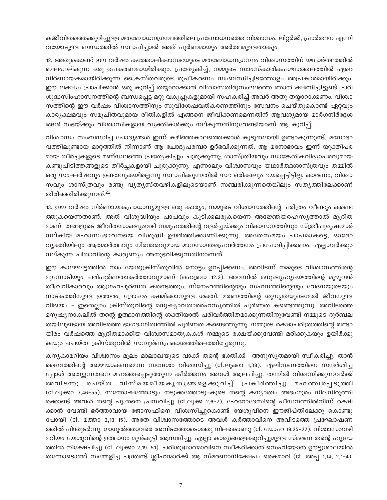കജീവിതത്തെക്കുറിച്ചുള്ള മതബോധനഗ്രന്ഥത്തിലെ പ്രബോധനത്തെ വിശ്വാസം, ലിറ്റർജി, പ്രാർത്ഥന എന്നി വയോടുള്ള ബന്ധത്തിൽ സ്ഥാപിച്ചാൽ അത് പൂർണമായും അർത്ഥമുള്ളതാകും.

12. അതുകൊണ്ട് ഈ വർഷം കത്തോലിക്കാസഭയുടെ മതബോധനഗ്രന്ഥം വിശ്വാസത്തിന് യഥാർത്ഥത്തിൽ ബലംനല്കുന്ന ഒരു ഉപകരണമായിരിക്കും. പ്രത്യേകിച്ച്, നമ്മുടെ സാംസ്കാരികപശ്ചാത്തലത്തിൽ ഏറെ നിർണായകമായിരിക്കുന്ന ക്രൈസ്തവരുടെ രൂപീകരണം സംബന്ധിച്ചിടത്തോളം അപ്രകാരമായിരിക്കും. ഈ ലക്ഷ്യം പ്രാപിക്കാൻ ഒരു കുറിപ്പ് തയ്യാറാക്കാൻ വിശ്വാസതിരുസംഘത്തെ ഞാൻ ക്ഷണിച്ചിട്ടുണ്ട്. പരി ശുദ്ധസിംഹാസനത്തിന്റെ ബന്ധപ്പെട്ട മറ്റു വകുപ്പുകളുമായി സഹകരിച്ച് അവർ അതു തയ്യാറാക്കണം. വിശ്വാ സത്തിന്റെ ഈ വർഷം വിശ്വാസത്തിനും സുവിശേഷവത്കരണത്തിനും സേവനം ചെയ്തുകൊണ്ട് ഏറ്റവും കാര്യക്ഷമവും സമുചിതവുമായ രീതികളിൽ എങ്ങനെ ജീവിക്കണമെന്നതിന് ആവശ്യമായ മാർഗനിർദ്ദേശ ങ്ങൾ സഭയ്ക്കും വിശ്വാസികളായ വ്യക്തികൾക്കും നല്കുന്നതിനുവേണ്ടിയാണ് ആ കുറിപ്പ്.

വിശ്വാസം സംബന്ധിച്ച ചോദ്യങ്ങൾ ഇന്ന് കഴിഞ്ഞകാലത്തെക്കാൾ കൂടുതലായി ഉണ്ടാകുന്നുണ്ട്. മനോഭാ വത്തിലുണ്ടായ മാറ്റത്തിൽ നിന്നാണ് ആ ചോദ്യപരമ്പര ഉദ്ഭവിക്കുന്നത്. ആ മനോഭാവം ഇന്ന് യുക്തിപര മായ തീർച്ചകളുടെ മണ്ഡലത്തെ പ്രത്യേകിച്ചും ചുരുക്കുന്നു; ശാസ്ത്രീയവും സാങ്കേതികവിദ്യാപരവുമായ കണ്ടുപിടിത്തങ്ങളുടെ തീർച്ചകളായി ചുരുക്കുന്നു. എന്നാലും വിശ്വാസവും യഥാർത്ഥശാസ്ത്രവും തമ്മിൽ ഒരു സംഘർഷവും ഉണ്ടാവുകയില്ലെന്നു സ്ഥാപിക്കുന്നതിൽ സഭ ഒരിക്കലും ഭയപ്പെട്ടിട്ടില്ല. കാരണം, വിശ്വാ സവും ശാസ്ത്രവും രണ്ടു വൃത്യസ്തവഴികളിലൂടെയാണ് സഞ്ചരിക്കുന്നതെങ്കിലും സത്യത്തിലേക്കാണ് തിരിഞ്ഞിരിക്കുന്നത്. $^{22}$ 

13. ഈ വർഷം നിർണായകപ്രാധാന്യമുള്ള ഒരു കാര്യം, നമ്മുടെ വിശ്വാസത്തിന്റെ ചരിത്രം വീണ്ടും കണ്ടെ ത്തുകയെന്നതാണ്. അത് വിശുദ്ധിയും പാപവും കൂടിക്കലരുകയെന്ന അജ്ഞേയരഹസ്യത്താൽ മുദ്രിത മാണ്. തങ്ങളുടെ ജീവിതസാക്ഷ്യംവഴി സമൂഹത്തിന്റെ വളർച്ചയ്ക്കും വികാസനത്തിനും സ്ത്രീപുരുഷന്മാർ നല്കിയ മഹാസംഭാവനയെ വിശുദ്ധി ഉയർത്തിക്കാണിക്കുന്നു. അതേസമയം പാപമാകട്ടെ, ഓരോ വ്യക്തിയിലും ആത്മാർത്ഥവും നിരന്തരവുമായ മാനസാന്തരപ്രവർത്തനം പ്രചോദിപ്പിക്കണം. എല്ലാവർക്കും നല്കുന്ന പിതാവിന്റെ കാരുണ്യം അനുഭവിക്കുന്നതിനാണത്.

ഈ കാലഘട്ടത്തിൽ നാം യേശുക്രിസ്തുവിൽ നോട്ടം ഉറപ്പിക്കണം. അവിടന്ന് നമ്മുടെ വിശ്വാസത്തിന്റെ മുന്നോടിയും പരിപൂർണതാകർത്താവുമാണ് (ഹെബ്രാ 12,2). അവനിൽ മനുഷ്യഹൃദയത്തിന്റെ മുഴുവൻ തീവ്രവികാരവും ആഗ്രഹപൂർണത കണ്ടെത്തും. സ്നേഹത്തിന്റെയും സഹനത്തിന്റെയും വേദനയുടെയും നാടകത്തിനുള്ള ഉത്തരം, ദ്രോഹം ക്ഷമിക്കാനുള്ള ശക്തി, മരണത്തിന്റെ ശൂന്യതയുടെമേൽ ജീവനുള്ള വിജയം – ഇതെല്ലാം ക്രിസ്തുവിന്റെ മനുഷ്യാവതാരരഹസ്യത്തിൽ പൂർണത കണ്ടെത്തുന്നു. അവിടത്തെ മനുഷ്യനാകലിൽ തന്റെ ഉത്ഥാനത്തിന്റെ ശക്തിയാൽ പരിവർത്തിതമാക്കുന്നതിനുവേണ്ടി നമ്മുടെ ദുർബല തയിലുണ്ടായ അവിടത്തെ ഭാഗഭാഗിത്വത്തിൽ പൂർണത കണ്ടെത്തുന്നു. നമ്മുടെ രക്ഷാചരിത്രത്തിന്റെ രണ്ടാ യിരം വർഷത്തെ മുദ്രിതമാക്കിയ വിശ്വാസമാതൃകകൾ നമ്മുടെ രക്ഷയ്ക്കുവേണ്ടി മരിക്കുകയും ഉയിർക്കു കയും ചെയ്ത ക്രിസ്തുവിൽ സമ്പൂർണപ്രകാശത്തിലെത്തിച്ചേരുന്നു.

കന്യകാമറിയം വിശ്വാസം മൂലം മാലാഖയുടെ വാക്ക് തന്റെ ഭക്തിക്ക് അനുസൃതമായി സ്വീകരിച്ചു. താൻ ദൈവത്തിന്റെ അമ്മയാകണമെന്ന സന്ദേശം വിശ്വസിച്ചു (cf.ലൂക്കാ 1,38). എലിസബത്തിനെ സന്ദർശിച്ച പ്പോൾ അത്യുന്നതനെ മഹത്ത്വപ്പെടുത്തുന്ന കീർത്തനം അവൾ ആലപിച്ചു. തന്നിൽ വിശ്വസിക്കുന്നവർക്ക് അവിടന്നു ചെയ്ത വിസ്മയമീയകൃതൃങ്ങളെക്കുറിച്ച് പ്രകീർത്തിച്ചു മഹ ത്ത⊥പ്പെടുത്തി (cf.ലൂക്കാ 7,46–55). സന്തോഷത്തോടും നടുക്കത്തോടുംകൂടെ തന്റെ കന്യാത്വം അഭംഗുരം നിലനിറുത്തി ക്കൊണ്ട് അവൾ തന്റെ പുത്രനെ പ്രസവിച്ചു (cf.ലൂക്ക 2,6–7). ഹേറോദേസിന്റെ പീഡനത്തിൽനിന്ന് രക്ഷി ക്കാൻ വേണ്ടി ഭർത്താവായ ജോസഫിനെ വിശ്വസിച്ചുകൊണ്ട് യേശുവിനെ ഈജിപ്തിലേക്കു കൊണ്ടു പോയി (cf. മത്താ 2,13-15). അതേ വിശ്വാസത്തോടെ അവൾ കർത്താവിനെ അവിടത്തെ പ്രഘോഷണ ത്തിൽ പിന്തുടർന്നു. ഗാഗുൽത്താവരെ അവിടത്തോടൊത്തു നിലകൊണ്ടു (cf. യോഹ 19,25–27). വിശ്വാസംവഴി മറിയം യേശുവിന്റെ ഉത്ഥാനം മുൻകൂട്ടി ആസ്വദിച്ചു. എല്ലാ കാര്യങ്ങളെക്കുറിച്ചുമുള്ള സ്മരണ തന്റെ ഹൃദയ ത്തിൽ നിക്ഷേപിച്ചു (cf. ലൂക്കാ 2,19, 51). പരിശുദ്ധാത്മാവിനെ സ്ഥീകരിക്കാൻ സെഹിയോൻ ഊട്ടുശാലയിൽ തന്നോടൊത്ത് സമ്മേളിച്ച പന്ത്രണ്ട് ശ്ലീഹന്മാർക്ക് ആ സ്മരണാനിക്ഷേപം കൈമാറി (cf. അപ്പ 1,14; 2,1–4).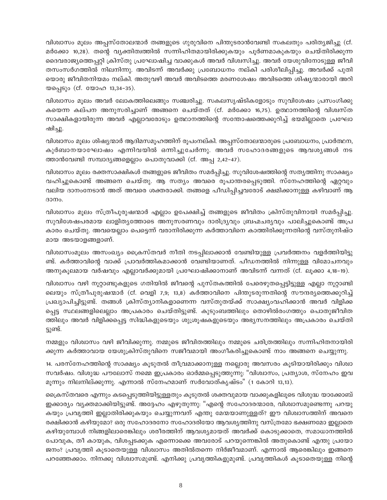വിശ്വാസം മൂലം അപ്പസ്തോലന്മാർ തങ്ങളുടെ ഗുരുവിനെ പിന്തുടരാൻവേണ്ടി സകലതും പരിത്യജിച്ചു (cf. മർക്കോ 10,28). തന്റെ വ്യക്തിത്വത്തിൽ സന്നിഹിതമായിരിക്കുകയും പൂർണമാകുകയും ചെയ്തിരിക്കുന്ന ദൈവരാജ്യത്തെപ്പറ്റി ക്രിസ്തു പ്രഘോഷിച്ച വാക്കുകൾ അവർ വിശ്വസിച്ചു. അവർ യേശുവിനോടുള്ള ജീവി തസംസർഗത്തിൽ നിലനിന്നു. അവിടന്ന് അവർക്കു പ്രബോധനം നല്കി പരിശീലിപ്പിച്ചു. അവർക്ക് പുതി യൊരു ജീവിതനിയമം നല്കി. അതുവഴി അവർ അവിടത്തെ മരണശേഷം അവിടത്തെ ശിഷ്യന്മാരായി അറി യപ്പെടും (cf. യോഹ 13,34-35).

വിശ്വാസം മൂലം അവർ ലോകത്തിലെങ്ങും സഞ്ചരിച്ചു. സകലസൃഷ്ടികളോടും സുവിശേഷം പ്രസംഗിക്കു കയെന്ന കല്പന അനുസരിച്ചാണ് അങ്ങനെ ചെയ്തത് (cf. മർക്കോ 16,75). ഉത്ഥാനത്തിന്റെ വിശ്വസ്ത സാക്ഷികളായിരുന്ന അവർ എല്ലാവരോടും ഉത്ഥാനത്തിന്റെ സന്തോഷത്തെക്കുറിച്ച് ഭയമില്ലാതെ പ്രഘോ ഷിച്ചു.

വിശ്വാസം മൂലം ശിഷ്യന്മാർ ആദിമസമൂഹത്തിന് രൂപംനല്കി. അപ്പസ്തോലന്മാരുടെ പ്രബോധനം, പ്രാർത്ഥന, കുർബാനയാഘോഷം എന്നിവയിൽ ഒന്നിച്ചുചേർന്നു. അവർ സഹോദരങ്ങളുടെ ആവശൃങ്ങൾ നട ത്താൻവേണ്ടി സമ്പാദ്യങ്ങളെല്ലാം പൊതുവാക്കി (cf. അപ്പ 2,42-47).

വിശ്വാസം മൂലം രക്തസാക്ഷികൾ തങ്ങളുടെ ജീവിതം സമർപ്പിച്ചു. സുവിശേഷത്തിന്റെ സത്യത്തിനു സാക്ഷ്യം വഹിച്ചുകൊണ്ട് അങ്ങനെ ചെയ്തു. ആ സത്യം അവരെ രൂപാന്തരപ്പെടുത്തി. സ്നേഹത്തിന്റെ ഏറ്റവും വലിയ ദാനംനേടാൻ അത് അവരെ ശക്തരാക്കി. തങ്ങളെ പീഡിപ്പിച്ചവരോട് ക്ഷമിക്കാനുള്ള കഴിവാണ് ആ  $3000$ .

വിശ്വാസം മൂലം സ്ത്രീപുരുഷന്മാർ എല്ലാം ഉപേക്ഷിച്ച് തങ്ങളുടെ ജീവിതം ക്രിസ്തുവിനായി സമർപ്പിച്ചു. സുവിശേഷപരമായ ലാളിതൃത്തോടെ അനുസരണവും ദാരിദ്ര്യവും ബ്രഹ്മചര്യവും പാലിച്ചുകൊണ്ട് അപ്ര കാരം ചെയ്തു. അവയെല്ലാം പെട്ടെന്ന് വരാനിരിക്കുന്ന കർത്താവിനെ കാത്തിരിക്കുന്നതിന്റെ വസ്തുനിഷ്ഠ മായ അടയാളങ്ങളാണ്.

വിശ്വാസംമൂലം അസംഖ്യം ക്രൈസ്തവർ നീതി നടപ്പിലാക്കാൻ വേണ്ടിയുള്ള പ്രവർത്തനം വളർത്തിയിട്ടു ണ്ട്. കർത്താവിന്റെ വാക്ക് പ്രാവർത്തികമാക്കാൻ വേണ്ടിയാണത്. പീഡനത്തിൽ നിന്നുള്ള വിമോചനവും അനുകൂലമായ വർഷവും എല്ലാവർക്കുമായി പ്രഘോഷിക്കാനാണ് അവിടന്ന് വന്നത് (cf. ലൂക്കാ 4,18-19).

വിശ്വാസം വഴി നൂറ്റാണ്ടുകളുടെ ഗതിയിൽ ജീവന്റെ പുസ്തകത്തിൽ പേരെഴുതപ്പെട്ടിട്ടുള്ള എല്ലാ നൂറ്റാണ്ടി ലെയും സ്ത്രീപുരുഷന്മാർ (cf. വെളി 7,9; 13,8) കർത്താവിനെ പിന്തുടരുന്നതിന്റെ സൗന്ദര്യത്തെക്കുറിച്ച് പ്രഖ്യാപിച്ചിട്ടുണ്ട്. തങ്ങൾ ക്രിസ്ത്യാനികളാണെന്ന വസ്തുതയ്ക്ക് സാക്ഷ്യംവഹിക്കാൻ അവർ വിളിക്ക പ്പെട്ട സ്ഥലങ്ങളിലെല്ലാം അപ്രകാരം ചെയ്തിട്ടുണ്ട്. കുടുംബത്തിലും തൊഴിൽരംഗത്തും പൊതുജീവിത ത്തിലും അവർ വിളിക്കപ്പെട്ട സിദ്ധികളുടെയും ശുശ്രൂഷകളുടെയും അഭ്യസനത്തിലും അപ്രകാരം ചെയ്തി ട്ടുണ്ട്.

നമ്മളും വിശ്വാസം വഴി ജീവിക്കുന്നു. നമ്മുടെ ജീവിതത്തിലും നമ്മുടെ ചരിത്രത്തിലും സന്നിഹിതനായിരി ക്കുന്ന കർത്താവായ യേശുക്രിസ്തുവിനെ സജീവമായി അംഗീകരിച്ചുകൊണ്ട് നാം അങ്ങനെ ചെയ്യുന്നു.

14. പരസ്നേഹത്തിന്റെ സാക്ഷ്യം കൂടുതൽ തീവ്രമാക്കാനുള്ള നല്ലൊരു അവസരം കൂടിയായിരിക്കും വിശ്വാ സവർഷം. വിശുദ്ധ പൗലോസ് നമ്മെ ഇപ്രകാരം ഓർമ്മപ്പെടുത്തുന്നു: "വിശ്വാസം, പ്രത്യാശ, സ്നേഹം ഇവ മൂന്നും നിലനില്ക്കുന്നു. എന്നാൽ സ്നേഹമാണ് സർവോത്കൃഷ്ടം" (1 കോറി 13,13).

ക്രൈസ്തവരെ എന്നും കടപ്പെടുത്തിയിട്ടുള്ളതും കൂടുതൽ ശക്തവുമായ വാക്കുകളിലൂടെ വിശുദ്ധ യാക്കോബ് ഇക്കാര്യം വ്യക്തമാക്കിയിട്ടുണ്ട്. അദ്ദേഹം എഴുതുന്നു: "എന്റെ സഹോദരന്മാരേ, വിശ്വാസമുണ്ടെന്നു പറയു കയും പ്രവൃത്തി ഇല്ലാതിരിക്കുകയും ചെയ്യുന്നവന് എന്തു മേന്മയാണുള്ളത്? ഈ വിശ്വാസത്തിന് അവനെ രക്ഷിക്കാൻ കഴിയുമോ? ഒരു സഹോദരനോ സഹോദരിയോ ആവശ്യത്തിനു വസ്ത്രമോ ഭക്ഷണമോ ഇല്ലാതെ കഴിയുമ്പോൾ നിങ്ങളിലാരെങ്കിലും ശരീരത്തിന് ആവശ്യമായത് അവർക്ക് കൊടുക്കാതെ, സമാധാനത്തിൽ പോവുക, തീ കായുക, വിശപ്പടക്കുക എന്നൊക്കെ അവരോട് പറയുന്നെങ്കിൽ അതുകൊണ്ട് എന്തു പ്രയോ ജനം? പ്രവൃത്തി കൂടാതെയുള്ള വിശ്വാസം അതിൽതന്നെ നിർജീവമാണ്. എന്നാൽ ആരെങ്കിലും ഇങ്ങനെ പറഞ്ഞേക്കാം. നിനക്കു വിശ്വാസമുണ്ട്. എനിക്കു പ്രവൃത്തികളുമുണ്ട്. പ്രവൃത്തികൾ കൂടാതെയുള്ള നിന്റെ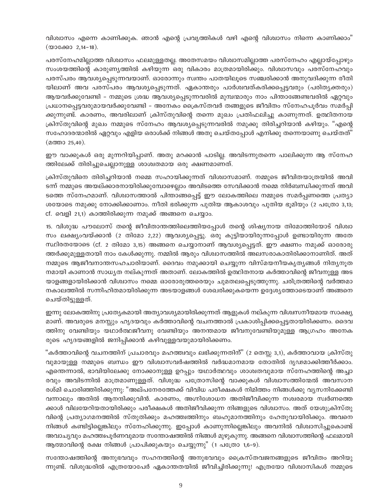വിശ്വാസം എന്നെ കാണിക്കുക. ഞാൻ എന്റെ പ്രവൃത്തികൾ വഴി എന്റെ വിശ്വാസം നിന്നെ കാണിക്കാം" (യാക്കോ 2,14-18).

പരസ്നേഹമില്ലാത്ത വിശ്വാസം ഫലമുള്ളതല്ല. അതേസമയം വിശ്വാസമില്ലാത്ത പരസ്നേഹം എല്ലായ്പ്പോഴും സംശയത്തിന്റെ കാരുണ്യത്തിൽ കഴിയുന്ന ഒരു വികാരം മാത്രമായിരിക്കും. വിശ്വാസവും പരസ്നേഹവും പരസ്പരം ആവശ്യപ്പെടുന്നവയാണ്. ഓരോന്നും സ്വന്തം പാതയിലൂടെ സഞ്ചരിക്കാൻ അനുവദിക്കുന്ന രീതി യിലാണ് അവ പരസ്പരം ആവശ്യപ്പെടുന്നത്. ഏകാന്തരും പാർശ്വവത്കരിക്കപ്പെട്ടവരും (പരിതൃക്തരും) ആയവർക്കുവേണ്ടി – നമ്മുടെ ശ്രദ്ധ ആവശ്യപ്പെടുന്നവരിൽ മുമ്പന്മാരും നാം പിന്താങ്ങേണ്ടവരിൽ ഏറ്റവും പ്രധാനപ്പെട്ടവരുമായവർക്കുവേണ്ടി – അനേകം ക്രൈസ്തവർ തങ്ങളുടെ ജീവിതം സ്നേഹപൂർവം സമർപ്പി ക്കുന്നുണ്ട്. കാരണം, അവരിലാണ് ക്രിസ്തുവിന്റെ തന്നെ മുഖം പ്രതിഫലിച്ചു കാണുന്നത്. ഉത്ഥിതനായ ക്രിസ്തുവിന്റെ മുഖം നമ്മുടെ സ്നേഹം ആവശ്യപ്പെടുന്നവരിൽ നമുക്കു തിരിച്ചറിയാൻ കഴിയും. "എന്റെ സഹോദരന്മാരിൽ ഏറ്റവും എളിയ ഒരാൾക്ക് നിങ്ങൾ അതു ചെയ്തപ്പോൾ എനിക്കു തന്നെയാണു ചെയ്തത്" (മത്താ 25,40).

ഈ വാക്കുകൾ ഒരു മുന്നറിയിപ്പാണ്. അതു മറക്കാൻ പാടില്ല. അവിടന്നുതന്നെ പാലിക്കുന്ന ആ സ്നേഹ ത്തിലേക്ക് തിരിച്ചുചെല്ലാനുള്ള ശാശ്വതമായ ഒരു ക്ഷണമാണത്.

ക്രിസ്തുവിനെ തിരിച്ചറിയാൻ നമ്മെ സഹായിക്കുന്നത് വിശ്വാസമാണ്. നമ്മുടെ ജീവിതയാത്രയിൽ അവി ടന്ന് നമ്മുടെ അയല്ക്കാരനായിരിക്കുമ്പോഴെല്ലാം അവിടത്തെ സേവിക്കാൻ നമ്മെ നിർബന്ധിക്കുന്നത് അവി ടത്തെ സ്നേഹമാണ്. വിശ്വാസത്താൽ പിന്താങ്ങപ്പെട്ട് ഈ ലോകത്തിലെ നമ്മുടെ സമർപ്പണത്തെ പ്രത്യാ ശയോടെ നമുക്കു നോക്കിക്കാണാം. നീതി ഭരിക്കുന്ന പുതിയ ആകാശവും പുതിയ ഭൂമിയും (2 പത്രോ 3,13; cf. വെളി 21,1) കാത്തിരിക്കുന്ന നമുക്ക് അങ്ങനെ ചെയ്യാം.

15. വിശുദ്ധ പൗലോസ് തന്റെ ജീവിതാന്തത്തിലെത്തിയപ്പോൾ തന്റെ ശിഷ്യനായ തിമോത്തിയോട് വിശ്വാ സം ലക്ഷ്യംവയ്ക്കാൻ (2 തിമോ 2,22) ആവശ്യപ്പെട്ടു. ഒരു കുട്ടിയായിരുന്നപ്പോൾ ഉണ്ടായിരുന്ന അതേ സ്ഥിരതയോടെ (cf. 2 തിമോ 3,15) അങ്ങനെ ചെയ്യാനാണ് ആവശ്യപ്പെട്ടത്. ഈ ക്ഷണം നമുക്ക് ഓരോരു ത്തർക്കുമുള്ളതായി നാം കേൾക്കുന്നു. നമ്മിൽ ആരും വിശ്വാസത്തിൽ അലസരാകാതിരിക്കാനാണിത്. അത് നമ്മുടെ ആജീവനാന്തസഹചാരിയാണ്. ദൈവം നമുക്കായി ചെയ്യുന്ന വിസ്മയനീയകൃത്യങ്ങൾ നിത്യനൂത നമായി കാണാൻ സാധ്യത നല്കുന്നത് അതാണ്. ലോകത്തിൽ ഉത്ഥിതനായ കർത്താവിന്റെ ജീവനുള്ള അട യാളങ്ങളായിരിക്കാൻ വിശ്വാസം നമ്മെ ഓരോരുത്തരെയും ചുമതലപ്പെടുത്തുന്നു. ചരിത്രത്തിന്റെ വർത്തമാ നകാലത്തിൽ സന്നിഹിതമായിരിക്കുന്ന അടയാളങ്ങൾ ശേഖരിക്കുകയെന്ന ഉദ്ദേശ്യത്തോടെയാണ് അങ്ങനെ ചെയ്തിട്ടുള്ളത്.

ഇന്നു ലോകത്തിനു പ്രത്യേകമായി അത്യാവശ്യമായിരിക്കുന്നത് ആളുകൾ നല്കുന്ന വിശ്വസനീയമായ സാക്ഷ്യ മാണ്. അവരുടെ മനസ്സും ഹൃദയവും കർത്താവിന്റെ വചനത്താൽ പ്രകാശിപ്പിക്കപ്പെട്ടതായിരിക്കണം. ദൈവ ത്തിനു വേണ്ടിയും യഥാർത്ഥജീവനു വേണ്ടിയും അനന്തമായ ജീവനുവേണ്ടിയുമുള്ള ആഗ്രഹം അനേക രുടെ ഹൃദയങ്ങളിൽ ജനിപ്പിക്കാൻ കഴിവുള്ളവയുമായിരിക്കണം.

"കർത്താവിന്റെ വചനത്തിന് പ്രചാരവും മഹത്ത്വവും ലഭിക്കുന്നതിന്" (2 തെസ്സ 3,1), കർത്താവായ ക്രിസ്തു വുമായുള്ള നമ്മുടെ ബന്ധം ഈ വിശ്വാസവർഷത്തിൽ വർദ്ധമാനമായ തോതിൽ ദൃഢമാക്കിത്തീർക്കാം. എന്തെന്നാൽ, ഭാവിയിലേക്കു നോക്കാനുള്ള ഉറപ്പും യഥാർത്ഥവും ശാശ്വതവുമായ സ്നേഹത്തിന്റെ അച്ചാ രവും അവിടന്നിൽ മാത്രമാണുള്ളത്. വിശുദ്ധ പത്രോസിന്റെ വാക്കുകൾ വിശ്വാസത്തിന്മേൽ അവസാന രശ്മി ചൊരിഞ്ഞിരിക്കുന്നു: "അല്പനേരത്തേക്ക് വിവിധ പരീക്ഷകൾ നിമിത്തം നിങ്ങൾക്കു വൃസനിക്കേണ്ടി വന്നാലും അതിൽ ആനന്ദിക്കുവിൻ. കാരണം, അഗ്നിശോധന അതിജീവിക്കുന്ന നശ്ചരമായ സ്വർണത്തെ ക്കാൾ വിലയേറിയതായിരിക്കും പരീക്ഷകൾ അതിജീവിക്കുന്ന നിങ്ങളുടെ വിശ്വാസം. അത് യേശുക്രിസ്തു വിന്റെ പ്രത്യാഗമനത്തിൽ സ്തുതിക്കും മഹത്ത്വത്തിനും ബഹുമാനത്തിനും ഹേതുവായിരിക്കും. അവനെ നിങ്ങൾ കണ്ടിട്ടില്ലെങ്കിലും സ്നേഹിക്കുന്നു. ഇപ്പോൾ കാണുന്നില്ലെങ്കിലും അവനിൽ വിശ്വാസിച്ചുകൊണ്ട് അവാച്യവും മഹത്തിപൂർണവുമായ സന്തോഷത്തിൽ നിങ്ങൾ മുഴുകുന്നു. അങ്ങനെ വിശ്വാസത്തിന്റെ ഫലമായി ആത്മാവിന്റെ രക്ഷ നിങ്ങൾ പ്രാപിക്കുകയും ചെയ്യുന്നു" (1 പത്രോ 1,6–9).

സന്തോഷത്തിന്റെ അനുഭവവും സഹനത്തിന്റെ അനുഭവവും ക്രൈസ്തവജനങ്ങളുടെ ജീവിതം അറിയു ന്നുണ്ട്. വിശുദ്ധരിൽ എത്രയോപേർ ഏകാന്തതയിൽ ജീവിച്ചിരിക്കുന്നു! എത്രയോ വിശ്വാസികൾ നമ്മുടെ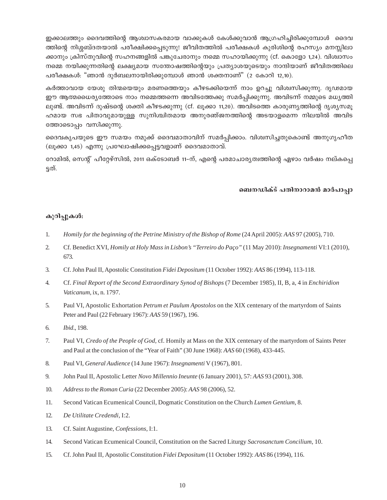ഇക്കാലത്തും ദൈവത്തിന്റെ ആശ്വാസകരമായ വാക്കുകൾ കേൾക്കുവാൻ ആഗ്രഹിച്ചിരിക്കുമ്പോൾ ദൈവ ത്തിന്റെ നിശ്ശബ്ദതയാൽ പരീക്ഷിക്കപ്പെടുന്നു! ജീവിതത്തിൽ പരീക്ഷകൾ കുരിശിന്റെ രഹസ്യം മനസ്സിലാ ക്കാനും ക്രിസ്തുവിന്റെ സഹനങ്ങളിൽ പങ്കുചേരാനും നമ്മെ സഹായിക്കുന്നു (cf. കൊളോ 1,24). വിശ്വാസം നമ്മെ നയിക്കുന്നതിന്റെ ലക്ഷ്യമായ സന്തോഷത്തിന്റെയും പ്രത്യാശയുടെയും നാന്ദിയാണ് ജീവിതത്തിലെ പരീക്ഷകൾ: "ഞാൻ ദുർബലനായിരിക്കുമ്പോൾ ഞാൻ ശക്തനാണ്" (2 കോറി 12,10).

കർത്താവായ യേശു തിന്മയെയും മരണത്തെയും കീഴടക്കിയെന്ന് നാം ഉറച്ചു വിശ്വസിക്കുന്നു. ദൃഢമായ ഈ ആത്മധൈര്യത്തോടെ നാം നമ്മെത്തന്നെ അവിടത്തേക്കു സമർപ്പിക്കുന്നു. അവിടന്ന് നമ്മുടെ മധ്യത്തി ലുണ്ട്. അവിടന്ന് ദുഷ്ടന്റെ ശക്തി കീഴടക്കുന്നു (cf. ലൂക്കാ 11,20). അവിടത്തെ കാരുണ്യത്തിന്റെ ദൃശ്യസമൂ ഹമായ സഭ പിതാവുമായുള്ള സുനിശ്ചിതമായ അനുരഞ്ജനത്തിന്റെ അടയാളമെന്ന നിലയിൽ അവിട ത്തോടൊപ്പം വസിക്കുന്നു.

ദൈവകൃപയുടെ ഈ സമയം നമുക്ക് ദൈവമാതാവിന് സമർപ്പിക്കാം. വിശ്വസിച്ചതുകൊണ്ട് അനുഗൃഹീത (ലൂക്കാ 1,45) എന്നു പ്രഘോഷിക്കപ്പെട്ടവളാണ് ദൈവമാതാവ്.

റോമിൽ, സെന്റ് പീറ്റേഴ്സിൽ, 2011 ഒക്ടോബർ 11–ന്, എന്റെ പരമാചാര്യത്വത്തിന്റെ ഏഴാം വർഷം നല്കപ്പെ ട്ടത്.

## ബെനഡിക്ട് പതിനാറാമൻ മാർപാപ്പാ

## കുറിപ്പുകൾ:

- $1<sup>1</sup>$ Homily for the beginning of the Petrine Ministry of the Bishop of Rome (24 April 2005): AAS 97 (2005), 710.
- $2.$ Cf. Benedict XVI, Homily at Holy Mass in Lisbon's "Terreiro do Paço" (11 May 2010): Insegnamenti VI:1 (2010), 673.
- $\mathfrak{Z}$ . Cf. John Paul II, Apostolic Constitution Fidei Depositum (11 October 1992): AAS 86 (1994), 113-118.
- $\overline{4}$ . Cf. Final Report of the Second Extraordinary Synod of Bishops (7 December 1985), II, B, a, 4 in Enchiridion Vaticanum, ix, n. 1797.
- 5. Paul VI, Apostolic Exhortation Petrum et Paulum Apostolos on the XIX centenary of the martyrdom of Saints Peter and Paul (22 February 1967): AAS 59 (1967), 196.
- 6. Ibid., 198.
- 7. Paul VI, Credo of the People of God, cf. Homily at Mass on the XIX centenary of the martyrdom of Saints Peter and Paul at the conclusion of the "Year of Faith" (30 June 1968): AAS 60 (1968), 433-445.
- 8. Paul VI, General Audience (14 June 1967): Insegnamenti V (1967), 801.
- 9. John Paul II, Apostolic Letter Novo Millennio Ineunte (6 January 2001), 57: AAS 93 (2001), 308.
- 10. Address to the Roman Curia (22 December 2005): AAS 98 (2006), 52.
- 11. Second Vatican Ecumenical Council, Dogmatic Constitution on the Church Lumen Gentium, 8.
- $12.$ De Utilitate Credendi, I:2.
- 13. Cf. Saint Augustine, Confessions, I:1.
- 14. Second Vatican Ecumenical Council, Constitution on the Sacred Liturgy Sacrosanctum Concilium, 10.
- 15. Cf. John Paul II, Apostolic Constitution Fidei Depositum (11 October 1992): AAS 86 (1994), 116.